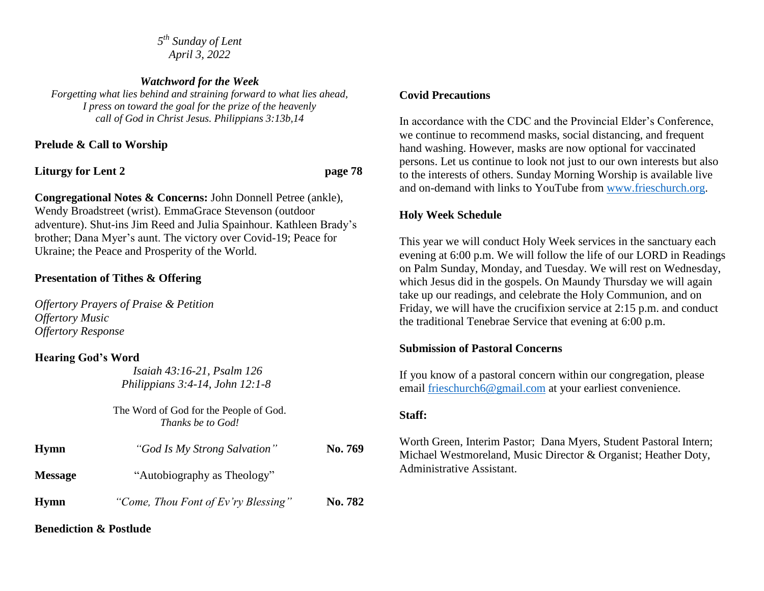*5 th Sunday of Lent April 3, 2022*

*Watchword for the Week Forgetting what lies behind and straining forward to what lies ahead, I press on toward the goal for the prize of the heavenly call of God in Christ Jesus. Philippians 3:13b,14*

## **Prelude & Call to Worship**

**Liturgy for Lent 2 page 78**

**Congregational Notes & Concerns:** John Donnell Petree (ankle), Wendy Broadstreet (wrist). EmmaGrace Stevenson (outdoor adventure). Shut-ins Jim Reed and Julia Spainhour. Kathleen Brady's brother; Dana Myer's aunt. The victory over Covid-19; Peace for Ukraine; the Peace and Prosperity of the World.

# **Presentation of Tithes & Offering**

*Offertory Prayers of Praise & Petition Offertory Music Offertory Response*

### **Hearing God's Word**

 *Isaiah 43:16-21, Psalm 126 Philippians 3:4-14, John 12:1-8*

The Word of God for the People of God. *Thanks be to God!*

| <b>Hymn</b>    | "God Is My Strong Salvation"<br>"Autobiography as Theology" | No. 769 |
|----------------|-------------------------------------------------------------|---------|
| <b>Message</b> |                                                             |         |
| <b>Hymn</b>    | "Come, Thou Font of Ev'ry Blessing"                         | No. 782 |

### **Benediction & Postlude**

#### **Covid Precautions**

In accordance with the CDC and the Provincial Elder's Conference, we continue to recommend masks, social distancing, and frequent hand washing. However, masks are now optional for vaccinated persons. Let us continue to look not just to our own interests but also to the interests of others. Sunday Morning Worship is available live and on-demand with links to YouTube from [www.frieschurch.org.](http://www.frieschurch.org/)

# **Holy Week Schedule**

This year we will conduct Holy Week services in the sanctuary each evening at 6:00 p.m. We will follow the life of our LORD in Readings on Palm Sunday, Monday, and Tuesday. We will rest on Wednesday, which Jesus did in the gospels. On Maundy Thursday we will again take up our readings, and celebrate the Holy Communion, and on Friday, we will have the crucifixion service at 2:15 p.m. and conduct the traditional Tenebrae Service that evening at 6:00 p.m.

### **Submission of Pastoral Concerns**

If you know of a pastoral concern within our congregation, please email [frieschurch6@gmail.com](mailto:frieschurch6@gmail.com) at your earliest convenience.

### **Staff:**

Worth Green, Interim Pastor; Dana Myers, Student Pastoral Intern; Michael Westmoreland, Music Director & Organist; Heather Doty, Administrative Assistant.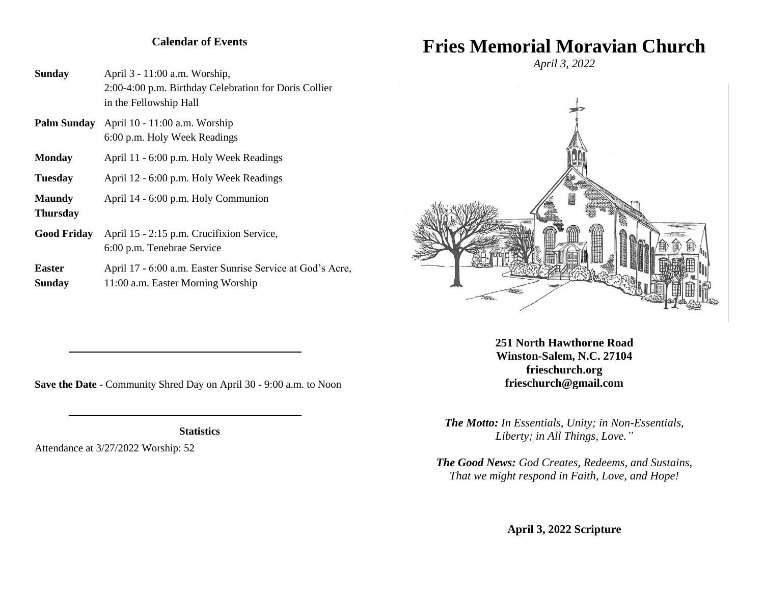### **Calendar of Events**

**Sunday** April 3 - 11:00 a.m. Worship, 2:00-4:00 p.m. Birthday Celebration for Doris Collier in the Fellowship Hall

- **Palm Sunday** April 10 11:00 a.m. Worship 6:00 p.m. Holy Week Readings
- **Monday** April 11 6:00 p.m. Holy Week Readings
- **Tuesday** April 12 6:00 p.m. Holy Week Readings
- **Maundy** April 14 6:00 p.m. Holy Communion
- **Thursday**
- **Good Friday** April 15 2:15 p.m. Crucifixion Service, 6:00 p.m. Tenebrae Service
- Easter April 17 6:00 a.m. Easter Sunrise Service at God's Acre, **Sunday** 11:00 a.m. Easter Morning Worship

# **Fries Memorial Moravian Church**

*April 3, 2022*



**251 North Hawthorne Road Winston-Salem, N.C. 27104 frieschurch.org frieschurch@gmail.com**

*The Motto: In Essentials, Unity; in Non-Essentials, Liberty; in All Things, Love."*

*The Good News: God Creates, Redeems, and Sustains, That we might respond in Faith, Love, and Hope!*

**April 3, 2022 Scripture**

**Save the Date** - Community Shred Day on April 30 - 9:00 a.m. to Noon

**Statistics**

Attendance at 3/27/2022 Worship: 52